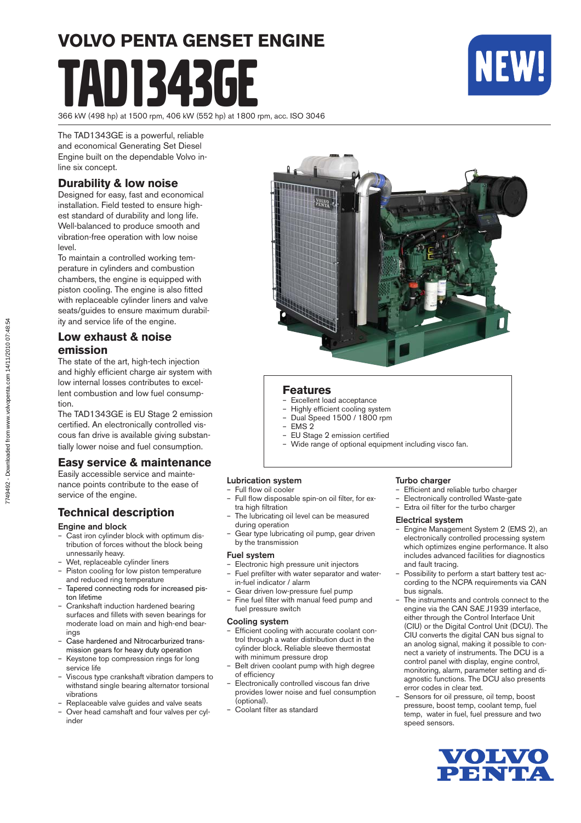# **VOLVO PENTA GENSET ENGINE** D1343GE



366 kW (498 hp) at 1500 rpm, 406 kW (552 hp) at 1800 rpm, acc. ISO 3046

The TAD1343GE is a powerful, reliable and economical Generating Set Diesel Engine built on the dependable Volvo inline six concept.

#### **Durability & low noise**

Designed for easy, fast and economical installation. Field tested to ensure highest standard of durability and long life. Well-balanced to produce smooth and vibration-free operation with low noise level.

To maintain a controlled working temperature in cylinders and combustion cham bers, the engine is equipped with piston cooling. The engine is also fitted with replaceable cylinder liners and valve seats/guides to ensure maximum durability and service life of the engine.

#### **Low exhaust & noise emission**

The state of the art, high-tech injection and highly efficient charge air system with low internal losses contributes to excellent combustion and low fuel consumption.

The TAD1343GE is EU Stage 2 emission certified. An electronically controlled viscous fan drive is available giving substantially lower noise and fuel consumption.

#### **Easy service & maintenance**

Easily accessible service and maintenance points contribute to the ease of service of the engine.

#### **Technical description**

#### Engine and block

- Cast iron cylinder block with optimum distribution of forces without the block being unnessarily heavy.
- Wet, replaceable cylinder liners
- Piston cooling for low piston temperature and reduced ring temperature
- Tapered connecting rods for increased piston lifetime
- Crankshaft induction hardened bearing surfaces and fillets with seven bearings for moderate load on main and high-end bearings
- Case hardened and Nitrocarburized transmis sion gears for heavy duty operation
- Keystone top compression rings for long service life
- Viscous type crankshaft vibration dampers to withstand single bearing alternator torsional vibrations
- Replaceable valve guides and valve seats
- Over head camshaft and four valves per cylinder



#### **Features**

- Excellent load acceptance
- Highly efficient cooling system
- Dual Speed 1500 / 1800 rpm
- EMS 2
- EU Stage 2 emission certified
- Wide range of optional equipment including visco fan.

#### Lubrication system

- Full flow oil cooler Full flow disposable spin-on oil filter, for ex-
- tra high filtration The lubricating oil level can be measured during operation
- Gear type lubricating oil pump, gear driven by the transmission

#### Fuel system

- Electronic high pressure unit injectors Fuel prefilter with water separator and water-
- in-fuel indicator / alarm
- Gear driven low-pressure fuel pump
- Fine fuel filter with manual feed pump and fuel pressure switch

#### Cooling system

- Efficient cooling with accurate coolant control through a water distribution duct in the cylinder block. Reliable sleeve thermostat with minimum pressure drop
- Belt driven coolant pump with high degree of efficiency
- Electronically controlled viscous fan drive provides lower noise and fuel consumption (optional).
- Coolant filter as standard

#### Turbo charger

- Efficient and reliable turbo charger
- Electronically controlled Waste-gate
- Extra oil filter for the turbo charger

#### Electrical system

- Engine Management System 2 (EMS 2), an electronically controlled processing system which optimizes engine performance. It also includes advanced facilities for diagnostics and fault tracing.
- Possibility to perform a start battery test according to the NCPA requirements via CAN bus signals.
- The instruments and controls connect to the engine via the CAN SAE J1939 interface, either through the Control Interface Unit (CIU) or the Digital Control Unit (DCU). The CIU converts the digital CAN bus signal to an anolog signal, making it possible to connect a variety of instruments. The DCU is a control panel with display, engine control, monitoring, alarm, parameter setting and diagnostic functions. The DCU also presents error codes in clear text.
- Sensors for oil pressure, oil temp, boost pressure, boost temp, coolant temp, fuel temp, water in fuel, fuel pressure and two speed sensors.